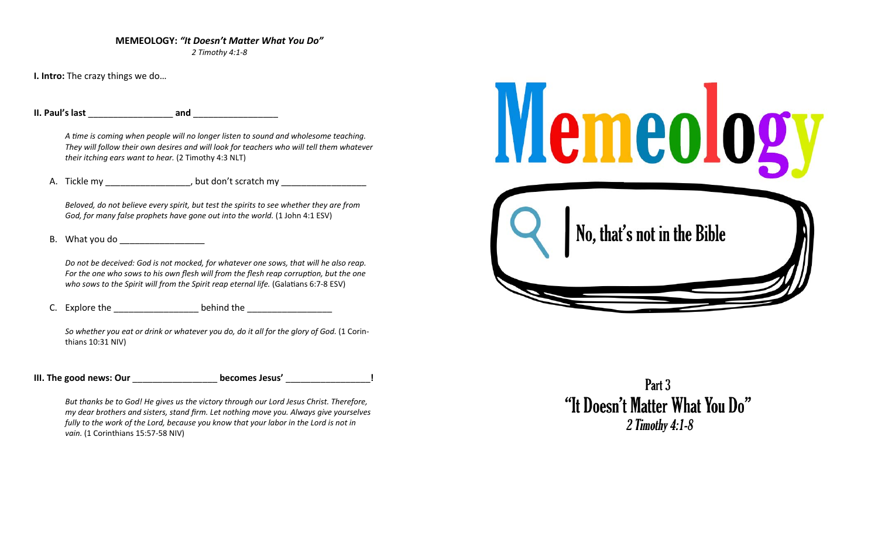#### **MEMEOLOGY:** *"It Doesn't MaƩer What You Do"*

*2 Timothy 4:1‐8* 

**I. Intro:** The crazy things we do…

**II. Paul's last**  \_\_\_\_\_\_\_\_\_\_\_\_\_\_\_\_\_  **and** \_\_\_\_\_\_\_\_\_\_\_\_\_\_\_\_\_

*A Ɵme is coming when people will no longer listen to sound and wholesome teaching. They will follow their own desires and will look for teachers who will tell them whatever their itching ears want to hear.* (2 Timothy 4:3 NLT)

A. Tickle my example and the posturior but don't scratch my

*Beloved, do not believe every spirit, but test the spirits to see whether they are from God, for many false prophets have gone out into the world.* (1 John 4:1 ESV)

B. What you do

*Do not be deceived: God is not mocked, for whatever one sows, that will he also reap.*  For the one who sows to his own flesh will from the flesh reap corruption, but the one *who sows to the Spirit will from the Spirit reap eternal life.* (Galatians 6:7-8 ESV)

C. Explore the \_\_\_\_\_\_\_\_\_\_\_\_\_\_\_\_\_ behind the \_\_\_\_\_\_\_\_\_\_\_\_\_\_\_\_\_

*So whether you eat or drink or whatever you do, do it all for the glory of God.* (1 Corin‐ thians 10:31 NIV)

| III. The good news: Our | becomes Jesus' |  |
|-------------------------|----------------|--|
|                         |                |  |

*But thanks be to God! He gives us the victory through our Lord Jesus Christ. Therefore, my dear brothers and sisters, stand firm. Let nothing move you. Always give yourselves fully to the work of the Lord, because you know that your labor in the Lord is not in vain.* (1 Corinthians 15:57‐58 NIV)



Part 3 "It Doesn't Matter What You Do" 2 Timothy 4:1-8